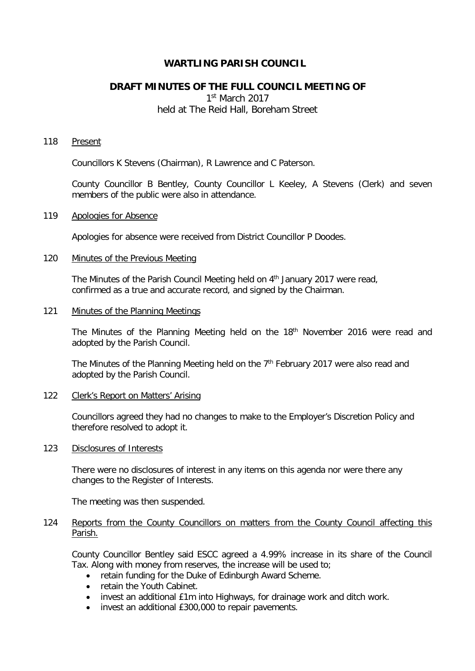# **WARTLING PARISH COUNCIL**

# **DRAFT MINUTES OF THE FULL COUNCIL MEETING OF**

1st March 2017 held at The Reid Hall, Boreham Street

### 118 Present

Councillors K Stevens (Chairman), R Lawrence and C Paterson.

County Councillor B Bentley, County Councillor L Keeley, A Stevens (Clerk) and seven members of the public were also in attendance.

### 119 Apologies for Absence

Apologies for absence were received from District Councillor P Doodes.

## 120 Minutes of the Previous Meeting

The Minutes of the Parish Council Meeting held on 4<sup>th</sup> January 2017 were read, confirmed as a true and accurate record, and signed by the Chairman.

#### 121 Minutes of the Planning Meetings

The Minutes of the Planning Meeting held on the 18<sup>th</sup> November 2016 were read and adopted by the Parish Council.

The Minutes of the Planning Meeting held on the  $7<sup>th</sup>$  February 2017 were also read and adopted by the Parish Council.

### 122 Clerk's Report on Matters' Arising

Councillors agreed they had no changes to make to the Employer's Discretion Policy and therefore resolved to adopt it.

# 123 Disclosures of Interests

There were no disclosures of interest in any items on this agenda nor were there any changes to the Register of Interests.

The meeting was then suspended.

# 124 Reports from the County Councillors on matters from the County Council affecting this Parish.

County Councillor Bentley said ESCC agreed a 4.99% increase in its share of the Council Tax. Along with money from reserves, the increase will be used to;

- retain funding for the Duke of Edinburgh Award Scheme.
- retain the Youth Cabinet.
- invest an additional £1m into Highways, for drainage work and ditch work.
- invest an additional £300,000 to repair pavements.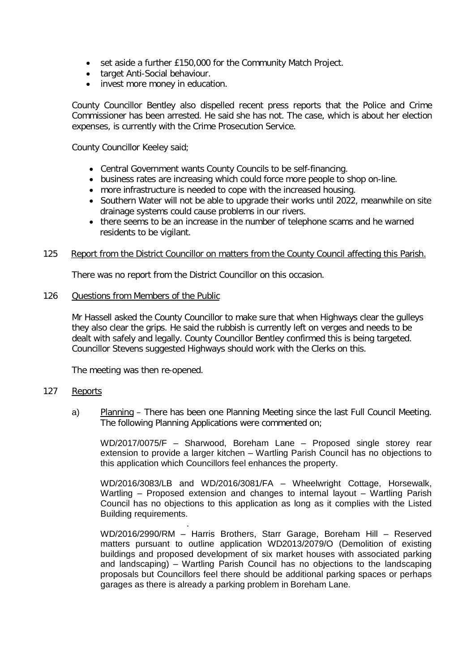- set aside a further £150,000 for the Community Match Project.
- target Anti-Social behaviour.
- invest more money in education.

County Councillor Bentley also dispelled recent press reports that the Police and Crime Commissioner has been arrested. He said she has not. The case, which is about her election expenses, is currently with the Crime Prosecution Service.

County Councillor Keeley said;

- Central Government wants County Councils to be self-financing.
- business rates are increasing which could force more people to shop on-line.
- more infrastructure is needed to cope with the increased housing.
- Southern Water will not be able to upgrade their works until 2022, meanwhile on site drainage systems could cause problems in our rivers.
- there seems to be an increase in the number of telephone scams and he warned residents to be vigilant.

#### 125 Report from the District Councillor on matters from the County Council affecting this Parish.

There was no report from the District Councillor on this occasion.

#### 126 Questions from Members of the Public

Mr Hassell asked the County Councillor to make sure that when Highways clear the gulleys they also clear the grips. He said the rubbish is currently left on verges and needs to be dealt with safely and legally. County Councillor Bentley confirmed this is being targeted. Councillor Stevens suggested Highways should work with the Clerks on this.

The meeting was then re-opened.

### 127 Reports

a) Planning – There has been one Planning Meeting since the last Full Council Meeting. The following Planning Applications were commented on;

WD/2017/0075/F – Sharwood, Boreham Lane – Proposed single storey rear extension to provide a larger kitchen – Wartling Parish Council has no objections to this application which Councillors feel enhances the property.

WD/2016/3083/LB and WD/2016/3081/FA – Wheelwright Cottage, Horsewalk, Wartling – Proposed extension and changes to internal layout – Wartling Parish Council has no objections to this application as long as it complies with the Listed Building requirements.

. WD/2016/2990/RM – Harris Brothers, Starr Garage, Boreham Hill – Reserved matters pursuant to outline application WD2013/2079/O (Demolition of existing buildings and proposed development of six market houses with associated parking and landscaping) – Wartling Parish Council has no objections to the landscaping proposals but Councillors feel there should be additional parking spaces or perhaps garages as there is already a parking problem in Boreham Lane.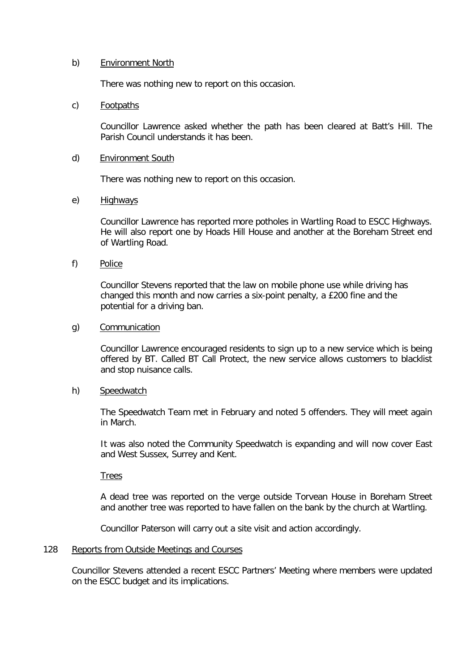# b) Environment North

There was nothing new to report on this occasion.

# c) Footpaths

Councillor Lawrence asked whether the path has been cleared at Batt's Hill. The Parish Council understands it has been.

## d) Environment South

There was nothing new to report on this occasion.

# e) Highways

Councillor Lawrence has reported more potholes in Wartling Road to ESCC Highways. He will also report one by Hoads Hill House and another at the Boreham Street end of Wartling Road.

f) Police

 Councillor Stevens reported that the law on mobile phone use while driving has changed this month and now carries a six-point penalty, a £200 fine and the potential for a driving ban.

# g) Communication

Councillor Lawrence encouraged residents to sign up to a new service which is being offered by BT. Called BT Call Protect, the new service allows customers to blacklist and stop nuisance calls.

# h) Speedwatch

The Speedwatch Team met in February and noted 5 offenders. They will meet again in March.

It was also noted the Community Speedwatch is expanding and will now cover East and West Sussex, Surrey and Kent.

**Trees** 

A dead tree was reported on the verge outside Torvean House in Boreham Street and another tree was reported to have fallen on the bank by the church at Wartling.

Councillor Paterson will carry out a site visit and action accordingly.

### 128 Reports from Outside Meetings and Courses

Councillor Stevens attended a recent ESCC Partners' Meeting where members were updated on the ESCC budget and its implications.